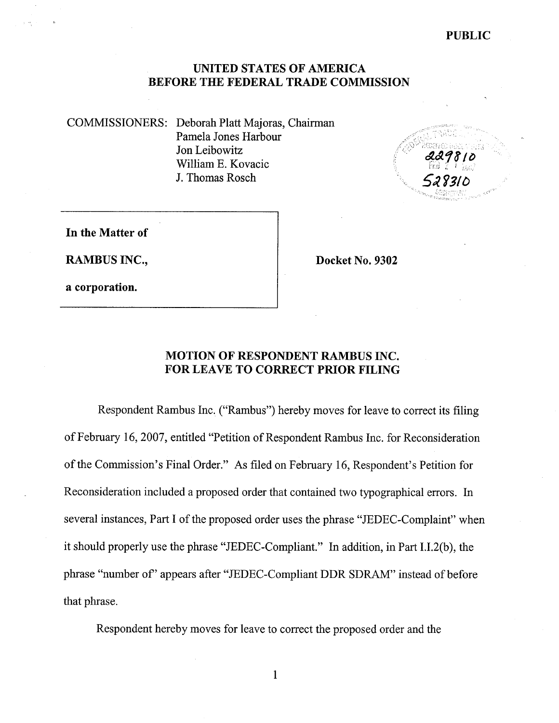PUBLIC

#### UNITED STATES OF AMERICA BEFORE THE FEDERAL TRADE COMMISSION

COMMISSIONERS: Deborah Platt Majoras, Chairman Pamela Jones Harbour Jon Leibowitz William E. Kovacic J. Thomas Rosch



In the Matter of

RAMBUS INC., Docket No. 9302

a corporation.

# MOTION OF RESPONDENT RAMBUS INC. FOR LEAVE TO CORRECT PRIOR FILING

Respondent Rambus Inc. ("Rambus") hereby moves for leave to correct its filing of February 16 2007, entitled "Petition of Respondent Rambus Inc. for Reconsideration of the Commission's Final Order." As filed on February 16, Respondent's Petition for Reconsideration included a proposed order that contained two typographical errors. In several instances, Part I of the proposed order uses the phrase "JEDEC-Complaint" when it should properly use the phrase "JEDEC-Compliant." In addition, in Part I.I.2(b), the phrase "number of" appears after "JEDEC-Compliant DDR SDRAM" instead of before that phrase.

Respondent hereby moves for leave to correct the proposed order and the

 $\mathbf{1}$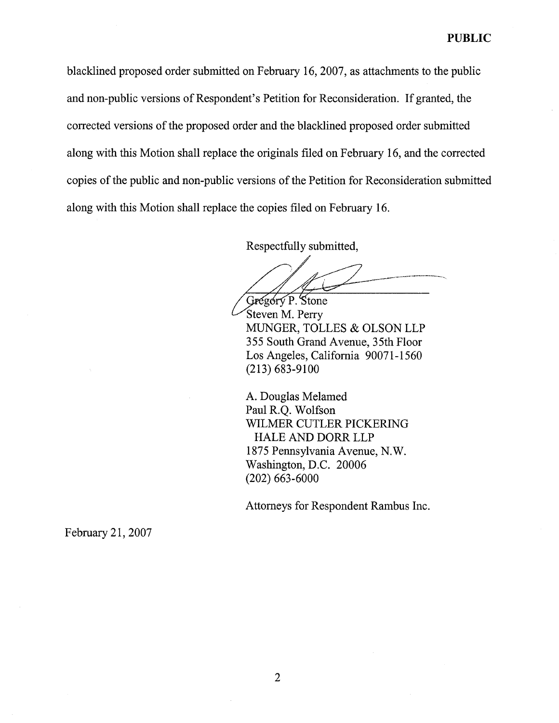blacklined proposed order submitted on February 16 2007, as attachments to the public and non-public versions of Respondent's Petition for Reconsideration. If granted, the corrected versions of the proposed order and the blacklined proposed order submitted along with this Motion shall replace the originals fied on February 16, and the corrected copies of the public and non-public versions of the Petition for Reconsideration submitted along with this Motion shall replace the copies fied on February 16.

Respectfully submitted

Gregory P. Stone

Steven M. Perry MUNGER, TOLLES & OLSON LLP 355 South Grand Avenue, 35th Floor Los Angeles, California 90071-1560 (213) 683-9100

A. Douglas Melamed Paul R.Q. Wolfson WILMER CUTLER PICKERING HALE AND DORR LLP 1875 Pennsylvania Avenue, N. Washington, D.C. 20006 (202) 663-6000

Attorneys for Respondent Rambus Inc.

February 21, 2007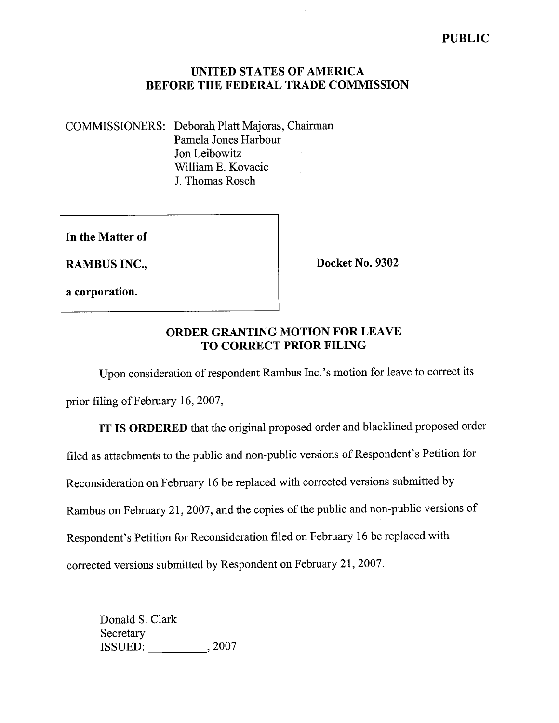## UNITED STATES OF AMERICA BEFORE THE FEDERAL TRADE COMMISSION

COMMISSIONERS: Deborah Platt Majoras, Chairman Pamela Jones Harbour Jon Leibowitz Wiliam E. Kovacic J. Thomas Rosch

In the Matter of

RAMBUS INC., Docket No. 9302

a corporation.

## ORDER GRANTING MOTION FOR LEAVE TO CORRECT PRIOR FILING

Upon consideration of respondent Rambus Inc.'s motion for leave to correct its

prior filing of February 16, 2007,

**IT IS ORDERED** that the original proposed order and blacklined proposed order filed as attachments to the public and non-public versions of Respondent's Petition for Reconsideration on February 16 be replaced with corrected versions submitted by Rambus on February 21, 2007, and the copies of the public and non-public versions of Respondent's Petition for Reconsideration fied on February 16 be replaced with corrected versions submitted by Respondent on February 21, 2007.

Donald S. Clark Secretary ISSUED: , 2007